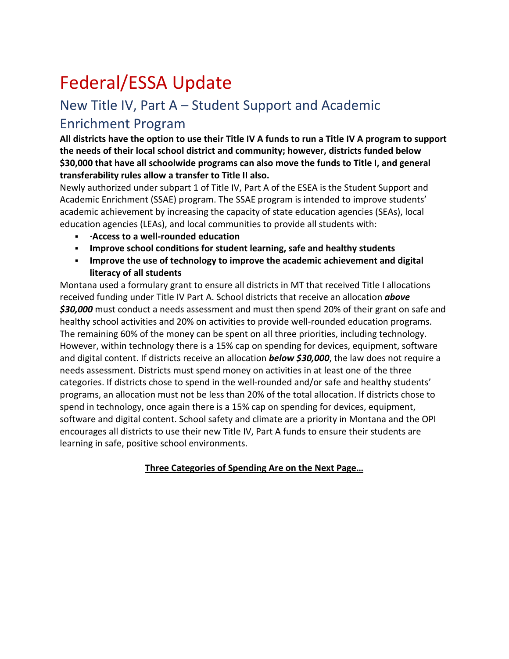## Federal/ESSA Update

## New Title IV, Part A – Student Support and Academic Enrichment Program

**All districts have the option to use their Title IV A funds to run a Title IV A program to support the needs of their local school district and community; however, districts funded below \$30,000 that have all schoolwide programs can also move the funds to Title I, and general transferability rules allow a transfer to Title II also.**

Newly authorized under subpart 1 of Title IV, Part A of the ESEA is the Student Support and Academic Enrichment (SSAE) program. The SSAE program is intended to improve students' academic achievement by increasing the capacity of state education agencies (SEAs), local education agencies (LEAs), and local communities to provide all students with:

- **·Access to a well-rounded education**
- **Improve school conditions for student learning, safe and healthy students**
- **Improve the use of technology to improve the academic achievement and digital literacy of all students**

Montana used a formulary grant to ensure all districts in MT that received Title I allocations received funding under Title IV Part A. School districts that receive an allocation *above \$30,000* must conduct a needs assessment and must then spend 20% of their grant on safe and healthy school activities and 20% on activities to provide well-rounded education programs. The remaining 60% of the money can be spent on all three priorities, including technology. However, within technology there is a 15% cap on spending for devices, equipment, software and digital content. If districts receive an allocation *below \$30,000*, the law does not require a needs assessment. Districts must spend money on activities in at least one of the three categories. If districts chose to spend in the well-rounded and/or safe and healthy students' programs, an allocation must not be less than 20% of the total allocation. If districts chose to spend in technology, once again there is a 15% cap on spending for devices, equipment, software and digital content. School safety and climate are a priority in Montana and the OPI encourages all districts to use their new Title IV, Part A funds to ensure their students are learning in safe, positive school environments.

## **Three Categories of Spending Are on the Next Page…**